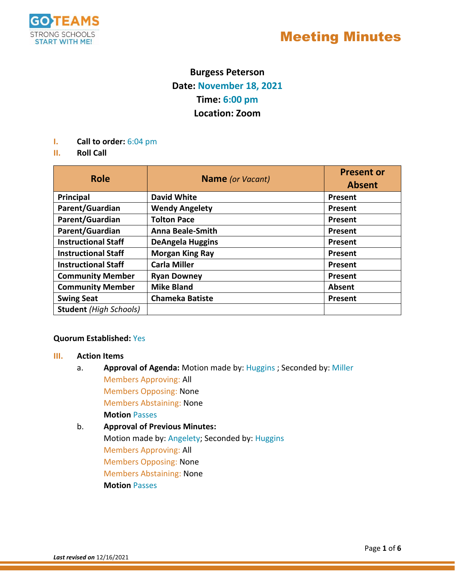

### **Burgess Peterson Date: November 18, 2021 Time: 6:00 pm Location: Zoom**

- **I. Call to order:** 6:04 pm
- **II. Roll Call**

| <b>Role</b>                   | Name (or Vacant)        | <b>Present or</b><br><b>Absent</b> |
|-------------------------------|-------------------------|------------------------------------|
| Principal                     | <b>David White</b>      | Present                            |
| Parent/Guardian               | <b>Wendy Angelety</b>   | Present                            |
| Parent/Guardian               | <b>Tolton Pace</b>      | Present                            |
| Parent/Guardian               | <b>Anna Beale-Smith</b> | Present                            |
| <b>Instructional Staff</b>    | <b>DeAngela Huggins</b> | Present                            |
| <b>Instructional Staff</b>    | <b>Morgan King Ray</b>  | Present                            |
| <b>Instructional Staff</b>    | <b>Carla Miller</b>     | Present                            |
| <b>Community Member</b>       | <b>Ryan Downey</b>      | Present                            |
| <b>Community Member</b>       | <b>Mike Bland</b>       | <b>Absent</b>                      |
| <b>Swing Seat</b>             | <b>Chameka Batiste</b>  | Present                            |
| <b>Student</b> (High Schools) |                         |                                    |

### **Quorum Established:** Yes

### **III. Action Items**

- a. **Approval of Agenda:** Motion made by: Huggins ; Seconded by: Miller Members Approving: All Members Opposing: None Members Abstaining: None **Motion** Passes
- b. **Approval of Previous Minutes:**  Motion made by: Angelety; Seconded by: Huggins Members Approving: All Members Opposing: None Members Abstaining: None **Motion** Passes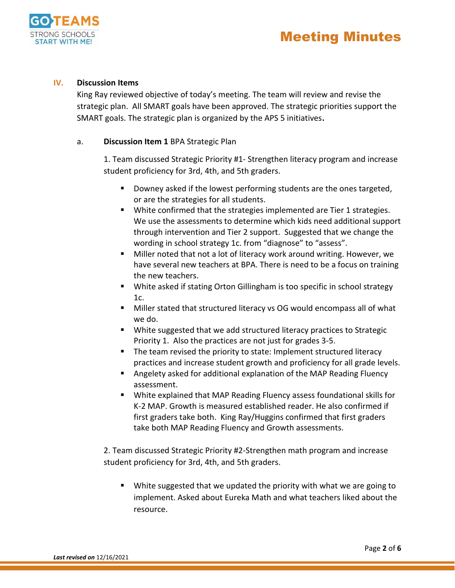



### **IV. Discussion Items**

King Ray reviewed objective of today's meeting. The team will review and revise the strategic plan. All SMART goals have been approved. The strategic priorities support the SMART goals. The strategic plan is organized by the APS 5 initiatives**.** 

### a. **Discussion Item 1** BPA Strategic Plan

1. Team discussed Strategic Priority #1- Strengthen literacy program and increase student proficiency for 3rd, 4th, and 5th graders.

- **Downey asked if the lowest performing students are the ones targeted,** or are the strategies for all students.
- White confirmed that the strategies implemented are Tier 1 strategies. We use the assessments to determine which kids need additional support through intervention and Tier 2 support. Suggested that we change the wording in school strategy 1c. from "diagnose" to "assess".
- Miller noted that not a lot of literacy work around writing. However, we have several new teachers at BPA. There is need to be a focus on training the new teachers.
- White asked if stating Orton Gillingham is too specific in school strategy 1c.
- Miller stated that structured literacy vs OG would encompass all of what we do.
- White suggested that we add structured literacy practices to Strategic Priority 1. Also the practices are not just for grades 3-5.
- The team revised the priority to state: Implement structured literacy practices and increase student growth and proficiency for all grade levels.
- Angelety asked for additional explanation of the MAP Reading Fluency assessment.
- White explained that MAP Reading Fluency assess foundational skills for K-2 MAP. Growth is measured established reader. He also confirmed if first graders take both. King Ray/Huggins confirmed that first graders take both MAP Reading Fluency and Growth assessments.

2. Team discussed Strategic Priority #2-Strengthen math program and increase student proficiency for 3rd, 4th, and 5th graders.

 White suggested that we updated the priority with what we are going to implement. Asked about Eureka Math and what teachers liked about the resource.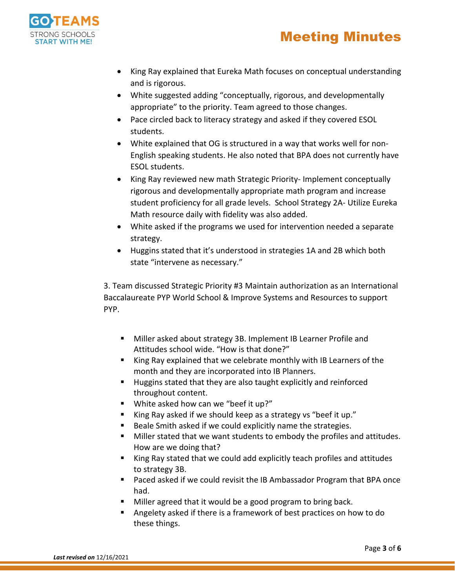



- King Ray explained that Eureka Math focuses on conceptual understanding and is rigorous.
- White suggested adding "conceptually, rigorous, and developmentally appropriate" to the priority. Team agreed to those changes.
- Pace circled back to literacy strategy and asked if they covered ESOL students.
- White explained that OG is structured in a way that works well for non-English speaking students. He also noted that BPA does not currently have ESOL students.
- King Ray reviewed new math Strategic Priority- Implement conceptually rigorous and developmentally appropriate math program and increase student proficiency for all grade levels. School Strategy 2A- Utilize Eureka Math resource daily with fidelity was also added.
- White asked if the programs we used for intervention needed a separate strategy.
- Huggins stated that it's understood in strategies 1A and 2B which both state "intervene as necessary."

3. Team discussed Strategic Priority #3 Maintain authorization as an International Baccalaureate PYP World School & Improve Systems and Resources to support PYP.

- Miller asked about strategy 3B. Implement IB Learner Profile and Attitudes school wide. "How is that done?"
- King Ray explained that we celebrate monthly with IB Learners of the month and they are incorporated into IB Planners.
- Huggins stated that they are also taught explicitly and reinforced throughout content.
- White asked how can we "beef it up?"
- King Ray asked if we should keep as a strategy vs "beef it up."
- Beale Smith asked if we could explicitly name the strategies.
- **Miller stated that we want students to embody the profiles and attitudes.** How are we doing that?
- King Ray stated that we could add explicitly teach profiles and attitudes to strategy 3B.
- Paced asked if we could revisit the IB Ambassador Program that BPA once had.
- Miller agreed that it would be a good program to bring back.
- Angelety asked if there is a framework of best practices on how to do these things.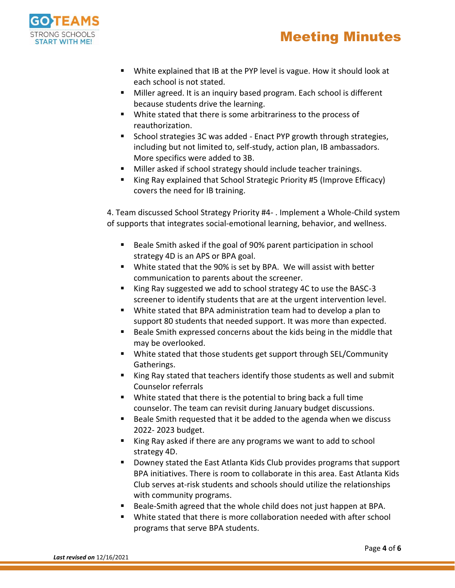# Meeting Minutes



- White explained that IB at the PYP level is vague. How it should look at each school is not stated.
- Miller agreed. It is an inquiry based program. Each school is different because students drive the learning.
- White stated that there is some arbitrariness to the process of reauthorization.
- School strategies 3C was added Enact PYP growth through strategies, including but not limited to, self-study, action plan, IB ambassadors. More specifics were added to 3B.
- Miller asked if school strategy should include teacher trainings.
- King Ray explained that School Strategic Priority #5 (Improve Efficacy) covers the need for IB training.

4. Team discussed School Strategy Priority #4- . Implement a Whole-Child system of supports that integrates social-emotional learning, behavior, and wellness.

- Beale Smith asked if the goal of 90% parent participation in school strategy 4D is an APS or BPA goal.
- White stated that the 90% is set by BPA. We will assist with better communication to parents about the screener.
- King Ray suggested we add to school strategy 4C to use the BASC-3 screener to identify students that are at the urgent intervention level.
- White stated that BPA administration team had to develop a plan to support 80 students that needed support. It was more than expected.
- Beale Smith expressed concerns about the kids being in the middle that may be overlooked.
- White stated that those students get support through SEL/Community Gatherings.
- King Ray stated that teachers identify those students as well and submit Counselor referrals
- White stated that there is the potential to bring back a full time counselor. The team can revisit during January budget discussions.
- Beale Smith requested that it be added to the agenda when we discuss 2022- 2023 budget.
- King Ray asked if there are any programs we want to add to school strategy 4D.
- Downey stated the East Atlanta Kids Club provides programs that support BPA initiatives. There is room to collaborate in this area. East Atlanta Kids Club serves at-risk students and schools should utilize the relationships with community programs.
- Beale-Smith agreed that the whole child does not just happen at BPA.
- White stated that there is more collaboration needed with after school programs that serve BPA students.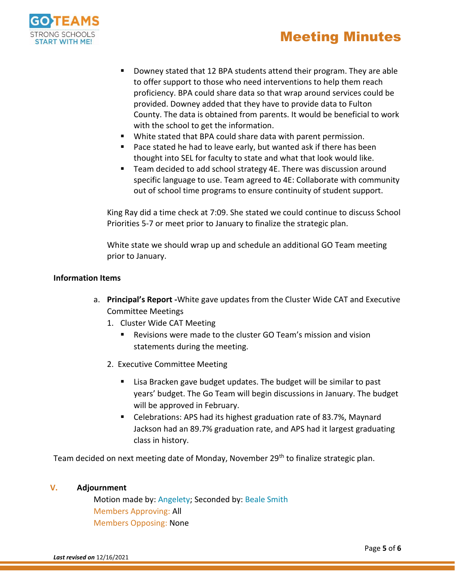



- Downey stated that 12 BPA students attend their program. They are able to offer support to those who need interventions to help them reach proficiency. BPA could share data so that wrap around services could be provided. Downey added that they have to provide data to Fulton County. The data is obtained from parents. It would be beneficial to work with the school to get the information.
- White stated that BPA could share data with parent permission.
- Pace stated he had to leave early, but wanted ask if there has been thought into SEL for faculty to state and what that look would like.
- Team decided to add school strategy 4E. There was discussion around specific language to use. Team agreed to 4E: Collaborate with community out of school time programs to ensure continuity of student support.

King Ray did a time check at 7:09. She stated we could continue to discuss School Priorities 5-7 or meet prior to January to finalize the strategic plan.

White state we should wrap up and schedule an additional GO Team meeting prior to January.

### **Information Items**

- a. **Principal's Report -**White gave updates from the Cluster Wide CAT and Executive Committee Meetings
	- 1. Cluster Wide CAT Meeting
		- Revisions were made to the cluster GO Team's mission and vision statements during the meeting.
	- 2. Executive Committee Meeting
		- Lisa Bracken gave budget updates. The budget will be similar to past years' budget. The Go Team will begin discussions in January. The budget will be approved in February.
		- Celebrations: APS had its highest graduation rate of 83.7%, Maynard Jackson had an 89.7% graduation rate, and APS had it largest graduating class in history.

Team decided on next meeting date of Monday, November 29<sup>th</sup> to finalize strategic plan.

#### **V. Adjournment**

Motion made by: Angelety; Seconded by: Beale Smith Members Approving: All Members Opposing: None